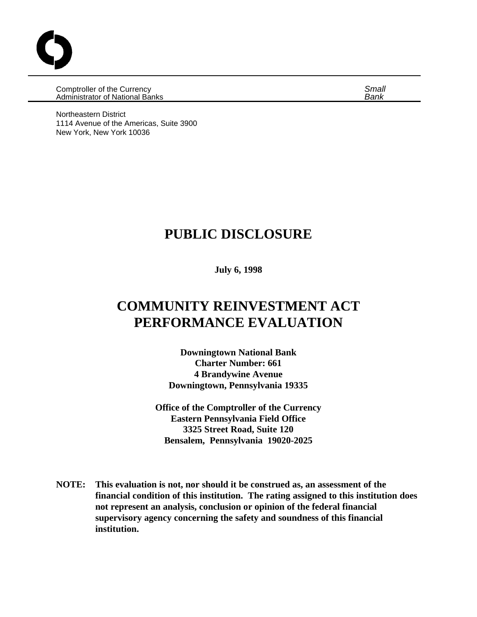Comptroller of the Currency *Small* Administrator of National Banks *Bank*

Northeastern District 1114 Avenue of the Americas, Suite 3900 New York, New York 10036

# **PUBLIC DISCLOSURE**

**July 6, 1998**

# **COMMUNITY REINVESTMENT ACT PERFORMANCE EVALUATION**

**Downingtown National Bank Charter Number: 661 4 Brandywine Avenue Downingtown, Pennsylvania 19335**

**Office of the Comptroller of the Currency Eastern Pennsylvania Field Office 3325 Street Road, Suite 120 Bensalem, Pennsylvania 19020-2025**

**NOTE: This evaluation is not, nor should it be construed as, an assessment of the financial condition of this institution. The rating assigned to this institution does not represent an analysis, conclusion or opinion of the federal financial supervisory agency concerning the safety and soundness of this financial institution.**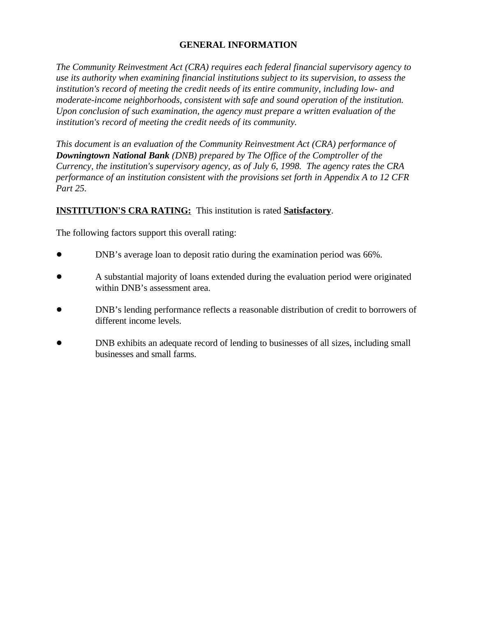# **GENERAL INFORMATION**

*The Community Reinvestment Act (CRA) requires each federal financial supervisory agency to use its authority when examining financial institutions subject to its supervision, to assess the institution's record of meeting the credit needs of its entire community, including low- and moderate-income neighborhoods, consistent with safe and sound operation of the institution. Upon conclusion of such examination, the agency must prepare a written evaluation of the institution's record of meeting the credit needs of its community.* 

*This document is an evaluation of the Community Reinvestment Act (CRA) performance of Downingtown National Bank (DNB) prepared by The Office of the Comptroller of the Currency, the institution's supervisory agency, as of July 6, 1998. The agency rates the CRA performance of an institution consistent with the provisions set forth in Appendix A to 12 CFR Part 25.*

# **INSTITUTION'S CRA RATING:** This institution is rated **Satisfactory**.

The following factors support this overall rating:

- ! DNB's average loan to deposit ratio during the examination period was 66%.
- ! A substantial majority of loans extended during the evaluation period were originated within DNB's assessment area.
- ! DNB's lending performance reflects a reasonable distribution of credit to borrowers of different income levels.
- ! DNB exhibits an adequate record of lending to businesses of all sizes, including small businesses and small farms.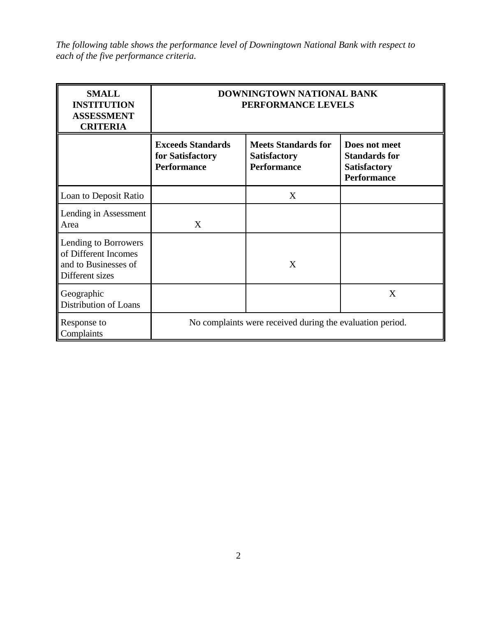*The following table shows the performance level of Downingtown National Bank with respect to each of the five performance criteria.*

| <b>SMALL</b><br><b>INSTITUTION</b><br><b>ASSESSMENT</b><br><b>CRITERIA</b>              | DOWNINGTOWN NATIONAL BANK<br>PERFORMANCE LEVELS                    |                                                                         |                                                                                    |  |  |  |
|-----------------------------------------------------------------------------------------|--------------------------------------------------------------------|-------------------------------------------------------------------------|------------------------------------------------------------------------------------|--|--|--|
|                                                                                         | <b>Exceeds Standards</b><br>for Satisfactory<br><b>Performance</b> | <b>Meets Standards for</b><br><b>Satisfactory</b><br><b>Performance</b> | Does not meet<br><b>Standards for</b><br><b>Satisfactory</b><br><b>Performance</b> |  |  |  |
| Loan to Deposit Ratio                                                                   |                                                                    | X                                                                       |                                                                                    |  |  |  |
| Lending in Assessment<br>Area                                                           | X                                                                  |                                                                         |                                                                                    |  |  |  |
| Lending to Borrowers<br>of Different Incomes<br>and to Businesses of<br>Different sizes |                                                                    | X                                                                       |                                                                                    |  |  |  |
| Geographic<br><b>Distribution of Loans</b>                                              |                                                                    |                                                                         | X                                                                                  |  |  |  |
| Response to<br>Complaints                                                               | No complaints were received during the evaluation period.          |                                                                         |                                                                                    |  |  |  |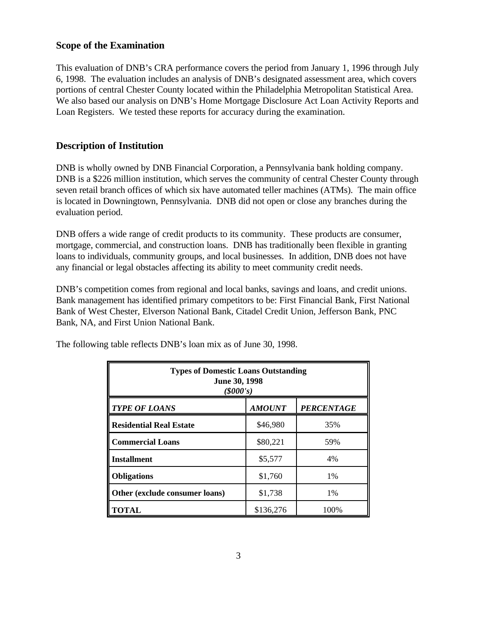### **Scope of the Examination**

This evaluation of DNB's CRA performance covers the period from January 1, 1996 through July 6, 1998. The evaluation includes an analysis of DNB's designated assessment area, which covers portions of central Chester County located within the Philadelphia Metropolitan Statistical Area. We also based our analysis on DNB's Home Mortgage Disclosure Act Loan Activity Reports and Loan Registers. We tested these reports for accuracy during the examination.

## **Description of Institution**

DNB is wholly owned by DNB Financial Corporation, a Pennsylvania bank holding company. DNB is a \$226 million institution, which serves the community of central Chester County through seven retail branch offices of which six have automated teller machines (ATMs). The main office is located in Downingtown, Pennsylvania. DNB did not open or close any branches during the evaluation period.

DNB offers a wide range of credit products to its community. These products are consumer, mortgage, commercial, and construction loans. DNB has traditionally been flexible in granting loans to individuals, community groups, and local businesses. In addition, DNB does not have any financial or legal obstacles affecting its ability to meet community credit needs.

DNB's competition comes from regional and local banks, savings and loans, and credit unions. Bank management has identified primary competitors to be: First Financial Bank, First National Bank of West Chester, Elverson National Bank, Citadel Credit Union, Jefferson Bank, PNC Bank, NA, and First Union National Bank.

| <b>Types of Domestic Loans Outstanding</b><br>June 30, 1998<br>(\$000's) |          |       |  |  |  |  |
|--------------------------------------------------------------------------|----------|-------|--|--|--|--|
| <b>AMOUNT</b><br><b>PERCENTAGE</b><br><b>TYPE OF LOANS</b>               |          |       |  |  |  |  |
| <b>Residential Real Estate</b>                                           | \$46,980 | 35%   |  |  |  |  |
| <b>Commercial Loans</b>                                                  | \$80,221 | 59%   |  |  |  |  |
| <b>Installment</b>                                                       | \$5,577  | 4%    |  |  |  |  |
| <b>Obligations</b>                                                       | \$1,760  | 1%    |  |  |  |  |
| Other (exclude consumer loans)                                           | \$1,738  | $1\%$ |  |  |  |  |
| <b>TOTAL</b><br>\$136,276<br>100%                                        |          |       |  |  |  |  |

The following table reflects DNB's loan mix as of June 30, 1998.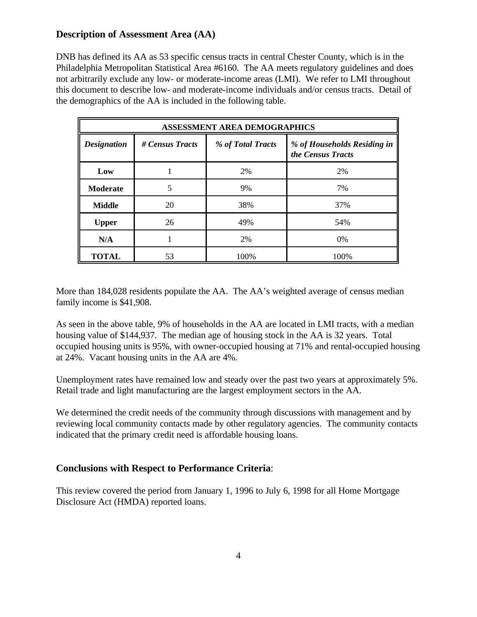# **Description of Assessment Area (AA)**

DNB has defined its AA as 53 specific census tracts in central Chester County, which is in the Philadelphia Metropolitan Statistical Area #6160. The AA meets regulatory guidelines and does not arbitrarily exclude any low- or moderate-income areas (LMI). We refer to LMI throughout this document to describe low- and moderate-income individuals and/or census tracts. Detail of the demographics of the AA is included in the following table.

| <b>ASSESSMENT AREA DEMOGRAPHICS</b> |                 |                   |                                                  |  |  |  |
|-------------------------------------|-----------------|-------------------|--------------------------------------------------|--|--|--|
| <b>Designation</b>                  | # Census Tracts | % of Total Tracts | % of Households Residing in<br>the Census Tracts |  |  |  |
| Low                                 |                 | 2%                | 2%                                               |  |  |  |
| <b>Moderate</b>                     | 5               | 9%                | 7%                                               |  |  |  |
| <b>Middle</b>                       | 20              | 38%               | 37%                                              |  |  |  |
| <b>Upper</b>                        | 26              | 49%               | 54%                                              |  |  |  |
| N/A                                 |                 | 2%                | 0%                                               |  |  |  |
| <b>TOTAL</b>                        | 53              | 100%              | 100%                                             |  |  |  |

More than 184,028 residents populate the AA. The AA's weighted average of census median family income is \$41,908.

As seen in the above table, 9% of households in the AA are located in LMI tracts, with a median housing value of \$144,937. The median age of housing stock in the AA is 32 years. Total occupied housing units is 95%, with owner-occupied housing at 71% and rental-occupied housing at 24%. Vacant housing units in the AA are 4%.

Unemployment rates have remained low and steady over the past two years at approximately 5%. Retail trade and light manufacturing are the largest employment sectors in the AA.

We determined the credit needs of the community through discussions with management and by reviewing local community contacts made by other regulatory agencies. The community contacts indicated that the primary credit need is affordable housing loans.

# **Conclusions with Respect to Performance Criteria**:

This review covered the period from January 1, 1996 to July 6, 1998 for all Home Mortgage Disclosure Act (HMDA) reported loans.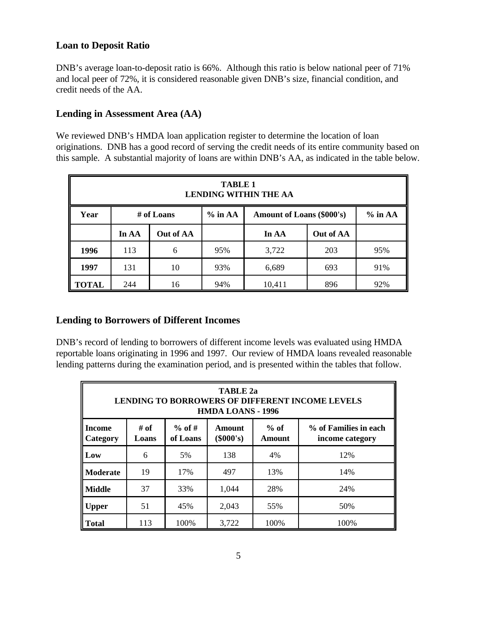# **Loan to Deposit Ratio**

DNB's average loan-to-deposit ratio is 66%. Although this ratio is below national peer of 71% and local peer of 72%, it is considered reasonable given DNB's size, financial condition, and credit needs of the AA.

# **Lending in Assessment Area (AA)**

We reviewed DNB's HMDA loan application register to determine the location of loan originations. DNB has a good record of serving the credit needs of its entire community based on this sample. A substantial majority of loans are within DNB's AA, as indicated in the table below.

| <b>TABLE 1</b><br><b>LENDING WITHIN THE AA</b> |                                                                          |           |     |        |     |     |  |
|------------------------------------------------|--------------------------------------------------------------------------|-----------|-----|--------|-----|-----|--|
| Year                                           | $%$ in AA<br>$%$ in AA<br><b>Amount of Loans (\$000's)</b><br># of Loans |           |     |        |     |     |  |
|                                                | In AA                                                                    | Out of AA |     | In AA  |     |     |  |
| 1996                                           | 113                                                                      | 6         | 95% | 3,722  | 203 | 95% |  |
| 1997                                           | 131                                                                      | 10        | 93% | 6,689  | 693 | 91% |  |
| <b>TOTAL</b>                                   | 244                                                                      | 16        | 94% | 10,411 | 896 | 92% |  |

## **Lending to Borrowers of Different Incomes**

DNB's record of lending to borrowers of different income levels was evaluated using HMDA reportable loans originating in 1996 and 1997. Our review of HMDA loans revealed reasonable lending patterns during the examination period, and is presented within the tables that follow.

| <b>TABLE 2a</b><br><b>LENDING TO BORROWERS OF DIFFERENT INCOME LEVELS</b><br><b>HMDA LOANS - 1996</b>                                                                     |     |      |       |      |      |  |  |
|---------------------------------------------------------------------------------------------------------------------------------------------------------------------------|-----|------|-------|------|------|--|--|
| $%$ of #<br>$%$ of<br># of<br>% of Families in each<br>Amount<br><b>Income</b><br>$(\$000's)$<br>of Loans<br><b>Amount</b><br><b>Category</b><br>Loans<br>income category |     |      |       |      |      |  |  |
| Low                                                                                                                                                                       | 6   | 5%   | 138   | 4%   | 12%  |  |  |
| <b>Moderate</b>                                                                                                                                                           | 19  | 17%  | 497   | 13%  | 14%  |  |  |
| <b>Middle</b>                                                                                                                                                             | 37  | 33%  | 1,044 | 28%  | 24%  |  |  |
| <b>Upper</b>                                                                                                                                                              | 51  | 45%  | 2,043 | 55%  | 50%  |  |  |
| <b>Total</b>                                                                                                                                                              | 113 | 100% | 3,722 | 100% | 100% |  |  |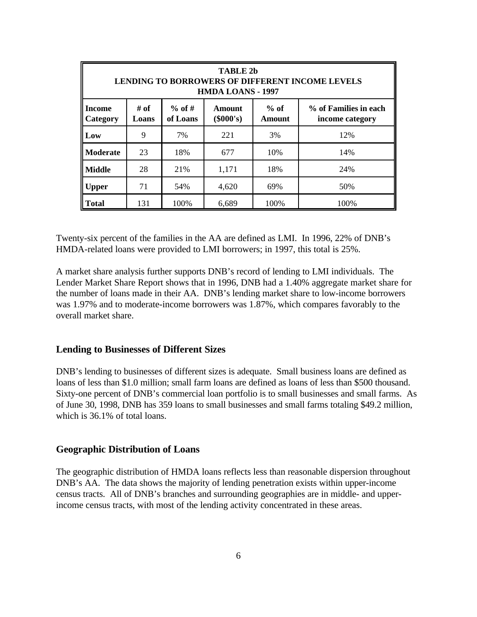| <b>TABLE 2b</b><br><b>LENDING TO BORROWERS OF DIFFERENT INCOME LEVELS</b><br><b>HMDA LOANS - 1997</b>                                              |     |      |       |      |      |  |  |  |
|----------------------------------------------------------------------------------------------------------------------------------------------------|-----|------|-------|------|------|--|--|--|
| # of<br>$%$ of #<br>% of Families in each<br>$%$ of<br>Amount<br>Income<br>(\$000's)<br>of Loans<br>Amount<br>Category<br>Loans<br>income category |     |      |       |      |      |  |  |  |
| Low                                                                                                                                                | 9   | 7%   | 221   | 3%   | 12%  |  |  |  |
| <b>Moderate</b>                                                                                                                                    | 23  | 18%  | 677   | 10%  | 14%  |  |  |  |
| <b>Middle</b>                                                                                                                                      | 28  | 21%  | 1,171 | 18%  | 24%  |  |  |  |
| <b>Upper</b>                                                                                                                                       | 71  | 54%  | 4,620 | 69%  | 50%  |  |  |  |
| <b>Total</b>                                                                                                                                       | 131 | 100% | 6,689 | 100% | 100% |  |  |  |

Twenty-six percent of the families in the AA are defined as LMI. In 1996, 22% of DNB's HMDA-related loans were provided to LMI borrowers; in 1997, this total is 25%.

A market share analysis further supports DNB's record of lending to LMI individuals. The Lender Market Share Report shows that in 1996, DNB had a 1.40% aggregate market share for the number of loans made in their AA. DNB's lending market share to low-income borrowers was 1.97% and to moderate-income borrowers was 1.87%, which compares favorably to the overall market share.

#### **Lending to Businesses of Different Sizes**

DNB's lending to businesses of different sizes is adequate. Small business loans are defined as loans of less than \$1.0 million; small farm loans are defined as loans of less than \$500 thousand. Sixty-one percent of DNB's commercial loan portfolio is to small businesses and small farms. As of June 30, 1998, DNB has 359 loans to small businesses and small farms totaling \$49.2 million, which is 36.1% of total loans.

#### **Geographic Distribution of Loans**

The geographic distribution of HMDA loans reflects less than reasonable dispersion throughout DNB's AA. The data shows the majority of lending penetration exists within upper-income census tracts. All of DNB's branches and surrounding geographies are in middle- and upperincome census tracts, with most of the lending activity concentrated in these areas.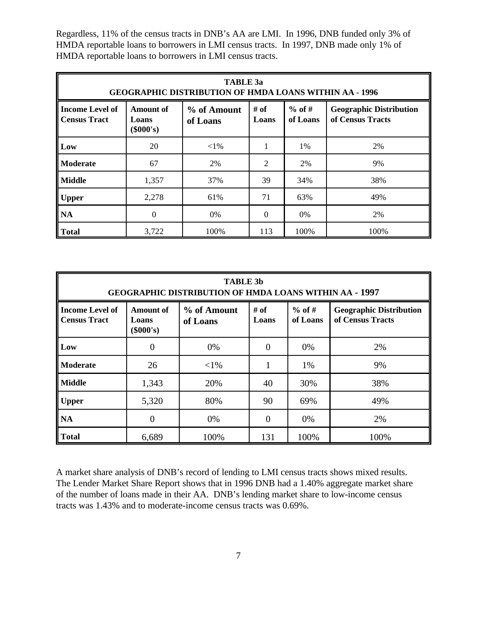Regardless, 11% of the census tracts in DNB's AA are LMI. In 1996, DNB funded only 3% of HMDA reportable loans to borrowers in LMI census tracts. In 1997, DNB made only 1% of HMDA reportable loans to borrowers in LMI census tracts.

| TABLE 3a<br><b>GEOGRAPHIC DISTRIBUTION OF HMDA LOANS WITHIN AA - 1996</b> |                                          |                         |               |                      |                                                    |  |  |
|---------------------------------------------------------------------------|------------------------------------------|-------------------------|---------------|----------------------|----------------------------------------------------|--|--|
| <b>Income Level of</b><br><b>Census Tract</b>                             | <b>Amount of</b><br>Loans<br>$(\$000's)$ | % of Amount<br>of Loans | # of<br>Loans | $%$ of #<br>of Loans | <b>Geographic Distribution</b><br>of Census Tracts |  |  |
| Low                                                                       | 20                                       | $<$ 1%                  |               | 1%                   | 2%                                                 |  |  |
| <b>Moderate</b>                                                           | 67                                       | 2%                      | 2             | 2%                   | 9%                                                 |  |  |
| ll Middle                                                                 | 1,357                                    | 37%                     | 39            | 34%                  | 38%                                                |  |  |
| <b>Upper</b>                                                              | 2,278                                    | 61%                     | 71            | 63%                  | 49%                                                |  |  |
| <b>NA</b>                                                                 | $\Omega$                                 | 0%                      | $\Omega$      | $0\%$                | 2%                                                 |  |  |
| l Total                                                                   | 3,722                                    | 100%                    | 113           | 100%                 | 100%                                               |  |  |

| <b>TABLE 3b</b><br><b>GEOGRAPHIC DISTRIBUTION OF HMDA LOANS WITHIN AA - 1997</b> |                                          |                         |                |                      |                                                    |  |  |  |
|----------------------------------------------------------------------------------|------------------------------------------|-------------------------|----------------|----------------------|----------------------------------------------------|--|--|--|
| <b>Income Level of</b><br><b>Census Tract</b>                                    | <b>Amount of</b><br>Loans<br>$(\$000's)$ | % of Amount<br>of Loans | # of<br>Loans  | $%$ of #<br>of Loans | <b>Geographic Distribution</b><br>of Census Tracts |  |  |  |
| Low                                                                              | $\overline{0}$                           | 0%                      | 0              | 0%                   | 2%                                                 |  |  |  |
| <b>Moderate</b>                                                                  | 26                                       | $<$ 1%                  |                | 1%                   | 9%                                                 |  |  |  |
| <b>Middle</b>                                                                    | 1,343                                    | 20%                     | 40             | 30%                  | 38%                                                |  |  |  |
| <b>Upper</b>                                                                     | 5,320                                    | 80%                     | 90             | 69%                  | 49%                                                |  |  |  |
| <b>NA</b>                                                                        | $\overline{0}$                           | 0%                      | $\overline{0}$ | 0%                   | 2%                                                 |  |  |  |
| <b>Total</b>                                                                     | 6,689                                    | 100%                    | 131            | 100%                 | 100%                                               |  |  |  |

A market share analysis of DNB's record of lending to LMI census tracts shows mixed results. The Lender Market Share Report shows that in 1996 DNB had a 1.40% aggregate market share of the number of loans made in their AA. DNB's lending market share to low-income census tracts was 1.43% and to moderate-income census tracts was 0.69%.